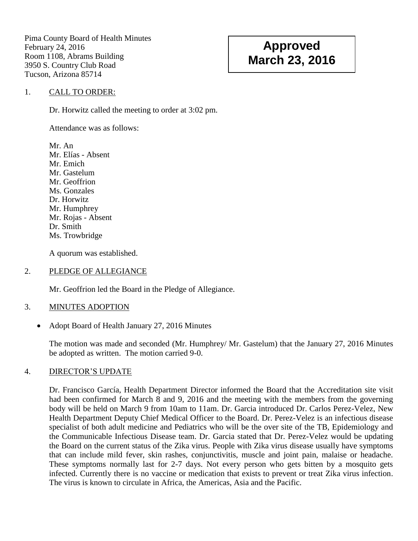Pima County Board of Health Minutes February 24, 2016 Room 1108, Abrams Building 3950 S. Country Club Road Tucson, Arizona 85714

# **Approved March 23, 2016**

## 1. CALL TO ORDER:

Dr. Horwitz called the meeting to order at 3:02 pm.

Attendance was as follows:

Mr. An Mr. Elías - Absent Mr. Emich Mr. Gastelum Mr. Geoffrion Ms. Gonzales Dr. Horwitz Mr. Humphrey Mr. Rojas - Absent Dr. Smith Ms. Trowbridge

A quorum was established.

#### 2. PLEDGE OF ALLEGIANCE

Mr. Geoffrion led the Board in the Pledge of Allegiance.

### 3. MINUTES ADOPTION

• Adopt Board of Health January 27, 2016 Minutes

The motion was made and seconded (Mr. Humphrey/ Mr. Gastelum) that the January 27, 2016 Minutes be adopted as written. The motion carried 9-0.

### 4. DIRECTOR'S UPDATE

Dr. Francisco García, Health Department Director informed the Board that the Accreditation site visit had been confirmed for March 8 and 9, 2016 and the meeting with the members from the governing body will be held on March 9 from 10am to 11am. Dr. Garcia introduced Dr. Carlos Perez-Velez, New Health Department Deputy Chief Medical Officer to the Board. Dr. Perez-Velez is an infectious disease specialist of both adult medicine and Pediatrics who will be the over site of the TB, Epidemiology and the Communicable Infectious Disease team. Dr. Garcia stated that Dr. Perez-Velez would be updating the Board on the current status of the Zika virus. People with Zika virus disease usually have symptoms that can include mild fever, skin rashes, conjunctivitis, muscle and joint pain, malaise or headache. These symptoms normally last for 2-7 days. Not every person who gets bitten by a mosquito gets infected. Currently there is no vaccine or medication that exists to prevent or treat Zika virus infection. The virus is known to circulate in Africa, the Americas, Asia and the Pacific.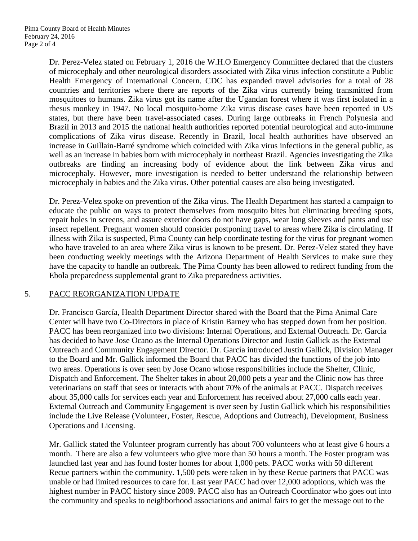Dr. Perez-Velez stated on February 1, 2016 the W.H.O Emergency Committee declared that the clusters of microcephaly and other neurological disorders associated with Zika virus infection constitute a Public Health Emergency of International Concern. CDC has expanded travel advisories for a total of 28 countries and territories where there are reports of the Zika virus currently being transmitted from mosquitoes to humans. Zika virus got its name after the Ugandan forest where it was first isolated in a rhesus monkey in 1947. No local mosquito-borne Zika virus disease cases have been reported in US states, but there have been travel-associated cases. During large outbreaks in French Polynesia and Brazil in 2013 and 2015 the national health authorities reported potential neurological and auto-immune complications of Zika virus disease. Recently in Brazil, local health authorities have observed an increase in Guillain-Barré syndrome which coincided with Zika virus infections in the general public, as well as an increase in babies born with microcephaly in northeast Brazil. Agencies investigating the Zika outbreaks are finding an increasing body of evidence about the link between Zika virus and microcephaly. However, more investigation is needed to better understand the relationship between microcephaly in babies and the Zika virus. Other potential causes are also being investigated.

Dr. Perez-Velez spoke on prevention of the Zika virus. The Health Department has started a campaign to educate the public on ways to protect themselves from mosquito bites but eliminating breeding spots, repair holes in screens, and assure exterior doors do not have gaps, wear long sleeves and pants and use insect repellent. Pregnant women should consider postponing travel to areas where Zika is circulating. If illness with Zika is suspected, Pima County can help coordinate testing for the virus for pregnant women who have traveled to an area where Zika virus is known to be present. Dr. Perez-Velez stated they have been conducting weekly meetings with the Arizona Department of Health Services to make sure they have the capacity to handle an outbreak. The Pima County has been allowed to redirect funding from the Ebola preparedness supplemental grant to Zika preparedness activities.

# 5. PACC REORGANIZATION UPDATE

Dr. Francisco García, Health Department Director shared with the Board that the Pima Animal Care Center will have two Co-Directors in place of Kristin Barney who has stepped down from her position. PACC has been reorganized into two divisions: Internal Operations, and External Outreach. Dr. Garcia has decided to have Jose Ocano as the Internal Operations Director and Justin Gallick as the External Outreach and Community Engagement Director. Dr. García introduced Justin Gallick, Division Manager to the Board and Mr. Gallick informed the Board that PACC has divided the functions of the job into two areas. Operations is over seen by Jose Ocano whose responsibilities include the Shelter, Clinic, Dispatch and Enforcement. The Shelter takes in about 20,000 pets a year and the Clinic now has three veterinarians on staff that sees or interacts with about 70% of the animals at PACC. Dispatch receives about 35,000 calls for services each year and Enforcement has received about 27,000 calls each year. External Outreach and Community Engagement is over seen by Justin Gallick which his responsibilities include the Live Release (Volunteer, Foster, Rescue, Adoptions and Outreach), Development, Business Operations and Licensing.

Mr. Gallick stated the Volunteer program currently has about 700 volunteers who at least give 6 hours a month. There are also a few volunteers who give more than 50 hours a month. The Foster program was launched last year and has found foster homes for about 1,000 pets. PACC works with 50 different Recue partners within the community. 1,500 pets were taken in by these Recue partners that PACC was unable or had limited resources to care for. Last year PACC had over 12,000 adoptions, which was the highest number in PACC history since 2009. PACC also has an Outreach Coordinator who goes out into the community and speaks to neighborhood associations and animal fairs to get the message out to the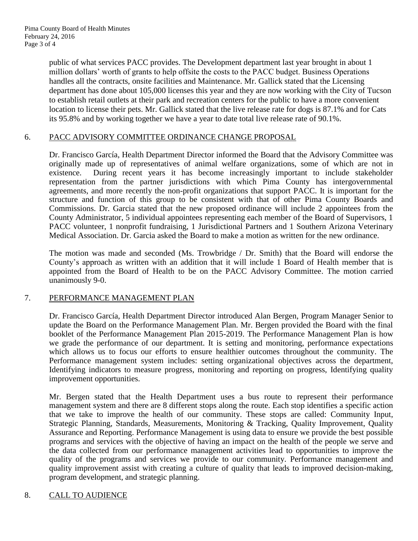public of what services PACC provides. The Development department last year brought in about 1 million dollars' worth of grants to help offsite the costs to the PACC budget. Business Operations handles all the contracts, onsite facilities and Maintenance. Mr. Gallick stated that the Licensing department has done about 105,000 licenses this year and they are now working with the City of Tucson to establish retail outlets at their park and recreation centers for the public to have a more convenient location to license their pets. Mr. Gallick stated that the live release rate for dogs is 87.1% and for Cats its 95.8% and by working together we have a year to date total live release rate of 90.1%.

## 6. PACC ADVISORY COMMITTEE ORDINANCE CHANGE PROPOSAL

Dr. Francisco García, Health Department Director informed the Board that the Advisory Committee was originally made up of representatives of animal welfare organizations, some of which are not in existence. During recent years it has become increasingly important to include stakeholder representation from the partner jurisdictions with which Pima County has intergovernmental agreements, and more recently the non-profit organizations that support PACC. It is important for the structure and function of this group to be consistent with that of other Pima County Boards and Commissions. Dr. Garcia stated that the new proposed ordinance will include 2 appointees from the County Administrator, 5 individual appointees representing each member of the Board of Supervisors, 1 PACC volunteer, 1 nonprofit fundraising, 1 Jurisdictional Partners and 1 Southern Arizona Veterinary Medical Association. Dr. Garcia asked the Board to make a motion as written for the new ordinance.

The motion was made and seconded (Ms. Trowbridge / Dr. Smith) that the Board will endorse the County's approach as written with an addition that it will include 1 Board of Health member that is appointed from the Board of Health to be on the PACC Advisory Committee. The motion carried unanimously 9-0.

# 7. PERFORMANCE MANAGEMENT PLAN

Dr. Francisco García, Health Department Director introduced Alan Bergen, Program Manager Senior to update the Board on the Performance Management Plan. Mr. Bergen provided the Board with the final booklet of the Performance Management Plan 2015-2019. The Performance Management Plan is how we grade the performance of our department. It is setting and monitoring, performance expectations which allows us to focus our efforts to ensure healthier outcomes throughout the community. The Performance management system includes: setting organizational objectives across the department, Identifying indicators to measure progress, monitoring and reporting on progress, Identifying quality improvement opportunities.

Mr. Bergen stated that the Health Department uses a bus route to represent their performance management system and there are 8 different stops along the route. Each stop identifies a specific action that we take to improve the health of our community. These stops are called: Community Input, Strategic Planning, Standards, Measurements, Monitoring & Tracking, Quality Improvement, Quality Assurance and Reporting. Performance Management is using data to ensure we provide the best possible programs and services with the objective of having an impact on the health of the people we serve and the data collected from our performance management activities lead to opportunities to improve the quality of the programs and services we provide to our community. Performance management and quality improvement assist with creating a culture of quality that leads to improved decision-making, program development, and strategic planning.

# 8. CALL TO AUDIENCE